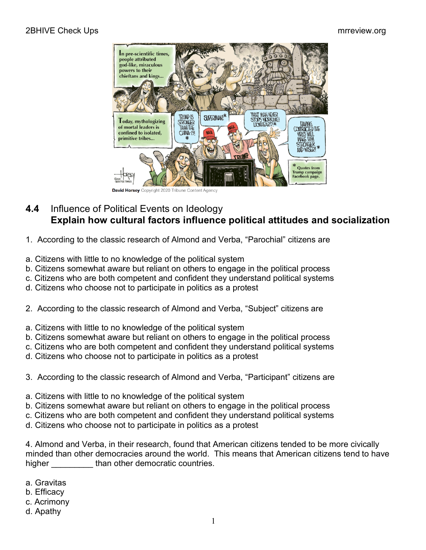

David Horsey Copyright 2020 Tribune Content Agency

## **4.4** Influence of Political Events on Ideology **Explain how cultural factors influence political attitudes and socialization**

- 1. According to the classic research of Almond and Verba, "Parochial" citizens are
- a. Citizens with little to no knowledge of the political system
- b. Citizens somewhat aware but reliant on others to engage in the political process
- c. Citizens who are both competent and confident they understand political systems
- d. Citizens who choose not to participate in politics as a protest
- 2. According to the classic research of Almond and Verba, "Subject" citizens are
- a. Citizens with little to no knowledge of the political system
- b. Citizens somewhat aware but reliant on others to engage in the political process
- c. Citizens who are both competent and confident they understand political systems
- d. Citizens who choose not to participate in politics as a protest
- 3. According to the classic research of Almond and Verba, "Participant" citizens are
- a. Citizens with little to no knowledge of the political system
- b. Citizens somewhat aware but reliant on others to engage in the political process
- c. Citizens who are both competent and confident they understand political systems
- d. Citizens who choose not to participate in politics as a protest

4. Almond and Verba, in their research, found that American citizens tended to be more civically minded than other democracies around the world. This means that American citizens tend to have higher than other democratic countries.

- a. Gravitas
- b. Efficacy
- c. Acrimony
- d. Apathy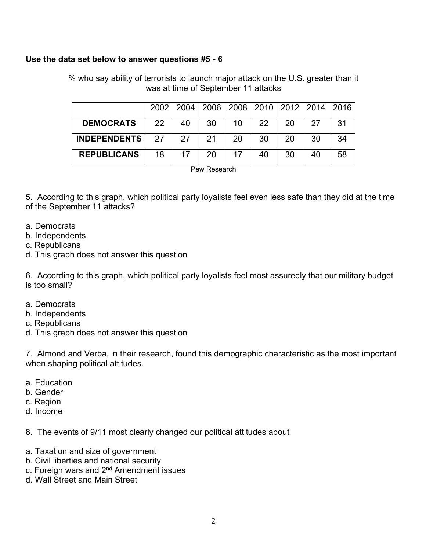## **Use the data set below to answer questions #5 - 6**

% who say ability of terrorists to launch major attack on the U.S. greater than it was at time of September 11 attacks

|                     |           |    | 2002   2004   2006   2008   2010   2012   2014 |    |    |    |    | $\sqrt{2016}$ |
|---------------------|-----------|----|------------------------------------------------|----|----|----|----|---------------|
| <b>DEMOCRATS</b>    | <b>22</b> | 40 | 30                                             | 10 | 22 | 20 | 27 | .31           |
| <b>INDEPENDENTS</b> | 27        | 27 | 21                                             | 20 | 30 | 20 | 30 | 34            |
| <b>REPUBLICANS</b>  | 18        | 17 | 20                                             | 17 | 40 | 30 | 40 | 58            |
| D. D.               |           |    |                                                |    |    |    |    |               |

Pew Research

5. According to this graph, which political party loyalists feel even less safe than they did at the time of the September 11 attacks?

- a. Democrats
- b. Independents
- c. Republicans
- d. This graph does not answer this question

6. According to this graph, which political party loyalists feel most assuredly that our military budget is too small?

- a. Democrats
- b. Independents
- c. Republicans
- d. This graph does not answer this question

7. Almond and Verba, in their research, found this demographic characteristic as the most important when shaping political attitudes.

- a. Education
- b. Gender
- c. Region
- d. Income
- 8. The events of 9/11 most clearly changed our political attitudes about
- a. Taxation and size of government
- b. Civil liberties and national security
- c. Foreign wars and 2nd Amendment issues
- d. Wall Street and Main Street